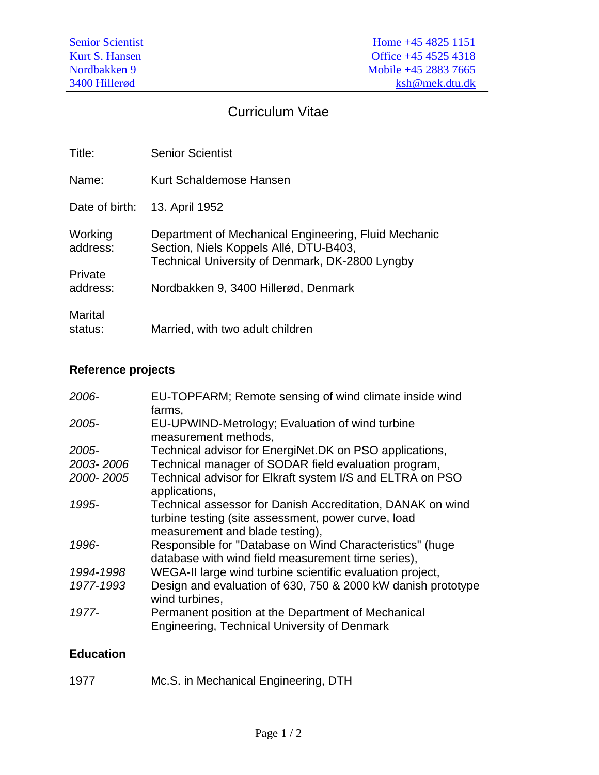## Curriculum Vitae

| Title:              | <b>Senior Scientist</b>                                                                                                                           |
|---------------------|---------------------------------------------------------------------------------------------------------------------------------------------------|
| Name:               | Kurt Schaldemose Hansen                                                                                                                           |
| Date of birth:      | 13. April 1952                                                                                                                                    |
| Working<br>address: | Department of Mechanical Engineering, Fluid Mechanic<br>Section, Niels Koppels Allé, DTU-B403,<br>Technical University of Denmark, DK-2800 Lyngby |
| Private<br>address: | Nordbakken 9, 3400 Hillerød, Denmark                                                                                                              |
| Marital<br>status:  | Married, with two adult children                                                                                                                  |

## **Reference projects**

| 2006-     | EU-TOPFARM; Remote sensing of wind climate inside wind<br>farms,                                                                                     |
|-----------|------------------------------------------------------------------------------------------------------------------------------------------------------|
| 2005-     | EU-UPWIND-Metrology; Evaluation of wind turbine<br>measurement methods,                                                                              |
| 2005-     | Technical advisor for EnergiNet.DK on PSO applications,                                                                                              |
| 2003-2006 | Technical manager of SODAR field evaluation program,                                                                                                 |
| 2000-2005 | Technical advisor for Elkraft system I/S and ELTRA on PSO<br>applications,                                                                           |
| 1995-     | Technical assessor for Danish Accreditation, DANAK on wind<br>turbine testing (site assessment, power curve, load<br>measurement and blade testing), |
| 1996-     | Responsible for "Database on Wind Characteristics" (huge<br>database with wind field measurement time series),                                       |
| 1994-1998 | WEGA-II large wind turbine scientific evaluation project,                                                                                            |
| 1977-1993 | Design and evaluation of 630, 750 & 2000 kW danish prototype<br>wind turbines,                                                                       |
| 1977-     | Permanent position at the Department of Mechanical<br><b>Engineering, Technical University of Denmark</b>                                            |

## **Education**

| 1977 | Mc.S. in Mechanical Engineering, DTH |
|------|--------------------------------------|
|------|--------------------------------------|